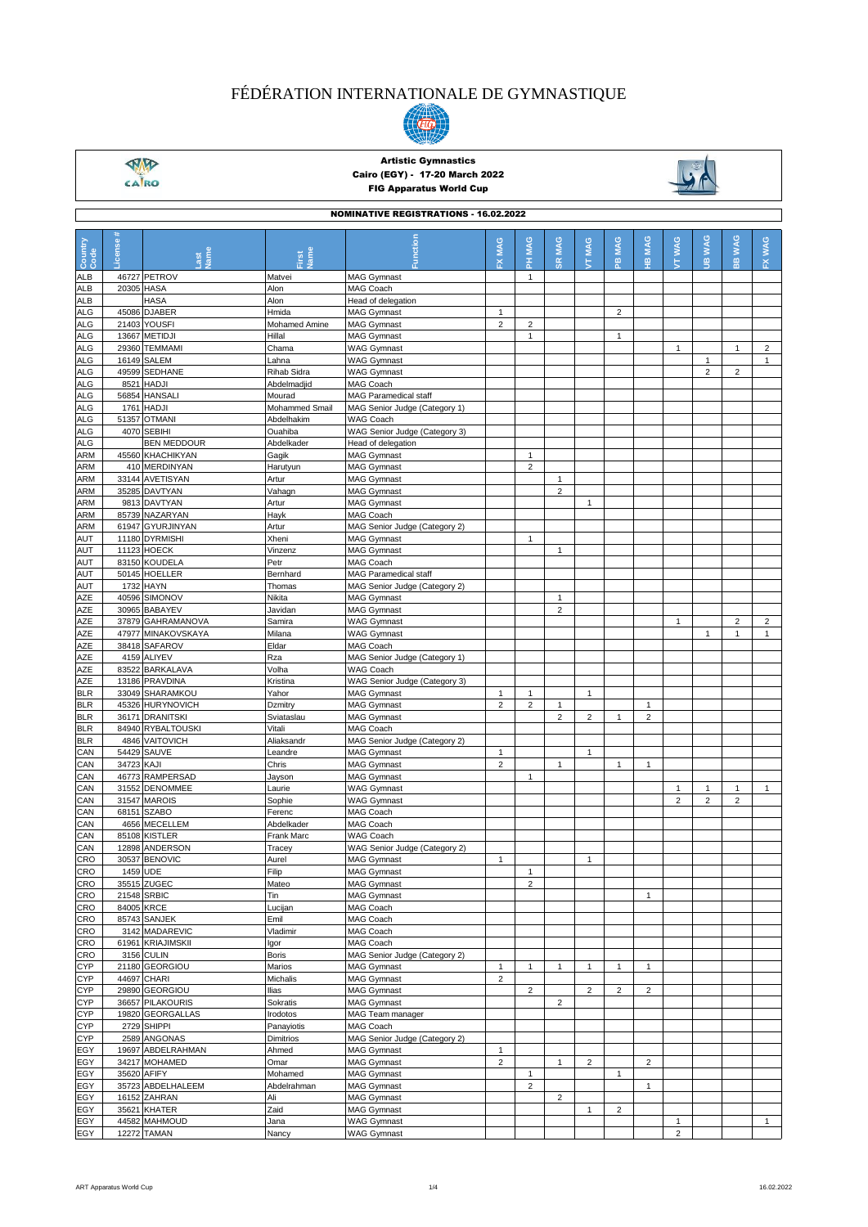

 $\frac{\sqrt{M}}{\sqrt{M}}$ 

### Artistic Gymnastics Cairo (EGY) - 17-20 March 2022 FIG Apparatus World Cup

NOMINATIVE REGISTRATIONS - 16.02.2022



| NUMINA I IVE REGISTRATIONS - 16.02.2022 |            |                    |                      |                               |                |                         |                 |                                        |                |                 |                 |                              |                            |                         |
|-----------------------------------------|------------|--------------------|----------------------|-------------------------------|----------------|-------------------------|-----------------|----------------------------------------|----------------|-----------------|-----------------|------------------------------|----------------------------|-------------------------|
| Country<br>Code                         | License    |                    | lame                 | Function                      | MAG<br>ᆇ       | <b>MAG</b><br>Ŧ.        | <b>MAG</b><br>œ | <b>MAG</b><br>$\overline{\phantom{a}}$ | MAG<br>은       | <b>MAG</b><br>쁲 | <b>WAG</b><br>É | <b>WAG</b><br>$\overline{g}$ | <b>WAG</b><br>$\mathbf{B}$ | FX WAG                  |
| ALB                                     |            | 46727 PETROV       | Matvei               | <b>MAG Gymnast</b>            |                | $\mathbf{1}$            |                 |                                        |                |                 |                 |                              |                            |                         |
| <b>ALB</b>                              | 20305 HASA |                    | Alon                 | MAG Coach                     |                |                         |                 |                                        |                |                 |                 |                              |                            |                         |
|                                         |            |                    |                      |                               |                |                         |                 |                                        |                |                 |                 |                              |                            |                         |
| <b>ALB</b>                              |            | HASA               | Alon                 | Head of delegation            |                |                         |                 |                                        |                |                 |                 |                              |                            |                         |
| ALG                                     |            | 45086 DJABER       | Hmida                | <b>MAG Gymnast</b>            | $\mathbf{1}$   |                         |                 |                                        | $\overline{c}$ |                 |                 |                              |                            |                         |
| ALG                                     | 21403      | <b>YOUSFI</b>      | <b>Mohamed Amine</b> | <b>MAG Gymnast</b>            | $\overline{2}$ | $\overline{c}$          |                 |                                        |                |                 |                 |                              |                            |                         |
| ALG                                     |            | 13667 METIDJI      | Hillal               | <b>MAG Gymnast</b>            |                | $\mathbf{1}$            |                 |                                        | 1              |                 |                 |                              |                            |                         |
| <b>ALG</b>                              | 29360      | <b>TEMMAMI</b>     | Chama                | <b>WAG Gymnast</b>            |                |                         |                 |                                        |                |                 | $\mathbf{1}$    |                              | $\mathbf{1}$               | $\overline{2}$          |
| ALG                                     |            | 16149 SALEM        | Lahna                | <b>WAG Gymnast</b>            |                |                         |                 |                                        |                |                 |                 | $\mathbf{1}$                 |                            | $\mathbf{1}$            |
| ALG                                     |            | 49599 SEDHANE      | Rihab Sidra          | <b>WAG Gymnast</b>            |                |                         |                 |                                        |                |                 |                 | $\overline{2}$               | $\overline{c}$             |                         |
| <b>ALG</b>                              |            | 8521 HADJI         | Abdelmadjid          | MAG Coach                     |                |                         |                 |                                        |                |                 |                 |                              |                            |                         |
| ALG                                     |            | 56854 HANSALI      | Mourad               | <b>MAG Paramedical staff</b>  |                |                         |                 |                                        |                |                 |                 |                              |                            |                         |
| ALG                                     | 1761       | <b>HADJI</b>       | Mohammed Smail       | MAG Senior Judge (Category 1) |                |                         |                 |                                        |                |                 |                 |                              |                            |                         |
| ALG                                     |            | 51357 OTMANI       | Abdelhakim           | WAG Coach                     |                |                         |                 |                                        |                |                 |                 |                              |                            |                         |
| <b>ALG</b>                              |            | 4070 SEBIHI        | Ouahiba              | WAG Senior Judge (Category 3) |                |                         |                 |                                        |                |                 |                 |                              |                            |                         |
| ALG                                     |            | <b>BEN MEDDOUR</b> | Abdelkader           | Head of delegation            |                |                         |                 |                                        |                |                 |                 |                              |                            |                         |
| ARM                                     |            | 45560 KHACHIKYAN   | Gagik                | <b>MAG Gymnast</b>            |                | 1                       |                 |                                        |                |                 |                 |                              |                            |                         |
| ARM                                     |            | 410 MERDINYAN      | Harutyun             | <b>MAG Gymnast</b>            |                | $\overline{2}$          |                 |                                        |                |                 |                 |                              |                            |                         |
| ARM                                     |            | 33144 AVETISYAN    | Artur                | <b>MAG Gymnast</b>            |                |                         | $\mathbf{1}$    |                                        |                |                 |                 |                              |                            |                         |
| ARM                                     |            | 35285 DAVTYAN      | Vahagn               | <b>MAG Gymnast</b>            |                |                         | $\overline{c}$  |                                        |                |                 |                 |                              |                            |                         |
| ARM                                     |            | 9813 DAVTYAN       | Artur                | <b>MAG Gymnast</b>            |                |                         |                 | $\mathbf{1}$                           |                |                 |                 |                              |                            |                         |
|                                         |            | 85739 NAZARYAN     |                      | MAG Coach                     |                |                         |                 |                                        |                |                 |                 |                              |                            |                         |
| ARM                                     |            |                    | Hayk                 |                               |                |                         |                 |                                        |                |                 |                 |                              |                            |                         |
| <b>ARM</b>                              |            | 61947 GYURJINYAN   | Artur                | MAG Senior Judge (Category 2) |                |                         |                 |                                        |                |                 |                 |                              |                            |                         |
| AUT                                     |            | 11180 DYRMISHI     | Xheni                | <b>MAG Gymnast</b>            |                | $\mathbf{1}$            |                 |                                        |                |                 |                 |                              |                            |                         |
| AUT                                     |            | 11123 HOECK        | Vinzenz              | <b>MAG Gymnast</b>            |                |                         | $\mathbf{1}$    |                                        |                |                 |                 |                              |                            |                         |
| AUT                                     |            | 83150 KOUDELA      | Petr                 | <b>MAG Coach</b>              |                |                         |                 |                                        |                |                 |                 |                              |                            |                         |
| AUT                                     |            | 50145 HOELLER      | Bernhard             | <b>MAG Paramedical staff</b>  |                |                         |                 |                                        |                |                 |                 |                              |                            |                         |
| AUT                                     |            | 1732 HAYN          | Thomas               | MAG Senior Judge (Category 2) |                |                         |                 |                                        |                |                 |                 |                              |                            |                         |
| AZE                                     |            | 40596 SIMONOV      | Nikita               | <b>MAG Gymnast</b>            |                |                         | $\mathbf{1}$    |                                        |                |                 |                 |                              |                            |                         |
| AZE                                     |            | 30965 BABAYEV      | Javidan              | <b>MAG Gymnast</b>            |                |                         | $\overline{2}$  |                                        |                |                 |                 |                              |                            |                         |
| AZE                                     |            | 37879 GAHRAMANOVA  | Samira               | <b>WAG Gymnast</b>            |                |                         |                 |                                        |                |                 | $\mathbf{1}$    |                              | $\overline{c}$             | $\overline{\mathbf{c}}$ |
| AZE                                     |            | 47977 MINAKOVSKAYA | Milana               | <b>WAG Gymnast</b>            |                |                         |                 |                                        |                |                 |                 | $\mathbf{1}$                 | $\mathbf{1}$               | $\mathbf{1}$            |
| AZE                                     |            | 38418 SAFAROV      | Eldar                | MAG Coach                     |                |                         |                 |                                        |                |                 |                 |                              |                            |                         |
| AZE                                     |            | 4159 ALIYEV        | Rza                  | MAG Senior Judge (Category 1) |                |                         |                 |                                        |                |                 |                 |                              |                            |                         |
| AZE                                     |            | 83522 BARKALAVA    | Volha                | <b>WAG Coach</b>              |                |                         |                 |                                        |                |                 |                 |                              |                            |                         |
| AZE                                     |            | 13186 PRAVDINA     | Kristina             | WAG Senior Judge (Category 3) |                |                         |                 |                                        |                |                 |                 |                              |                            |                         |
| <b>BLR</b>                              |            | 33049 SHARAMKOU    | Yahor                | <b>MAG Gymnast</b>            | $\mathbf{1}$   | $\mathbf{1}$            |                 | $\mathbf{1}$                           |                |                 |                 |                              |                            |                         |
| <b>BLR</b>                              |            | 45326 HURYNOVICH   | Dzmitry              | <b>MAG Gymnast</b>            | $\overline{2}$ | $\overline{2}$          | $\mathbf{1}$    |                                        |                | 1               |                 |                              |                            |                         |
| <b>BLR</b>                              |            | 36171 DRANITSKI    | Sviataslau           | <b>MAG Gymnast</b>            |                |                         | $\overline{c}$  | $\overline{2}$                         | 1              | $\overline{2}$  |                 |                              |                            |                         |
| <b>BLR</b>                              |            | 84940 RYBALTOUSKI  | Vitali               | MAG Coach                     |                |                         |                 |                                        |                |                 |                 |                              |                            |                         |
| <b>BLR</b>                              |            | 4846 VAITOVICH     |                      | MAG Senior Judge (Category 2) |                |                         |                 |                                        |                |                 |                 |                              |                            |                         |
|                                         |            |                    | Aliaksandr           |                               |                |                         |                 |                                        |                |                 |                 |                              |                            |                         |
| CAN                                     |            | 54429 SAUVE        | Leandre              | <b>MAG Gymnast</b>            | 1              |                         |                 | $\mathbf{1}$                           |                |                 |                 |                              |                            |                         |
| CAN                                     | 34723 KAJI |                    | Chris                | <b>MAG Gymnast</b>            | $\overline{2}$ |                         | $\mathbf{1}$    |                                        | $\mathbf{1}$   | 1               |                 |                              |                            |                         |
| CAN                                     |            | 46773 RAMPERSAD    | Jayson               | <b>MAG Gymnast</b>            |                | $\mathbf{1}$            |                 |                                        |                |                 |                 |                              |                            |                         |
| CAN                                     |            | 31552 DENOMMEE     | Laurie               | <b>WAG Gymnast</b>            |                |                         |                 |                                        |                |                 | $\mathbf{1}$    | $\mathbf{1}$                 | $\mathbf{1}$               | $\mathbf{1}$            |
| CAN                                     |            | 31547 MAROIS       | Sophie               | <b>WAG Gymnast</b>            |                |                         |                 |                                        |                |                 | $\overline{2}$  | $\overline{2}$               | $\overline{c}$             |                         |
| CAN                                     | 68151      | <b>SZABO</b>       | Ferenc               | MAG Coach                     |                |                         |                 |                                        |                |                 |                 |                              |                            |                         |
| CAN                                     |            | 4656 MECELLEM      | Abdelkader           | MAG Coach                     |                |                         |                 |                                        |                |                 |                 |                              |                            |                         |
| CAN                                     |            | 85108 KISTLER      | Frank Marc           | WAG Coach                     |                |                         |                 |                                        |                |                 |                 |                              |                            |                         |
| CAN                                     |            | 12898 ANDERSON     | Tracey               | WAG Senior Judge (Category 2) |                |                         |                 |                                        |                |                 |                 |                              |                            |                         |
| CRO                                     |            | 30537 BENOVIC      | Aurel                | <b>MAG Gymnast</b>            | $\mathbf{1}$   |                         |                 | $\mathbf{1}$                           |                |                 |                 |                              |                            |                         |
| CRO                                     | 1459 UDE   |                    | Filip                | <b>MAG Gymnast</b>            |                | $\mathbf{1}$            |                 |                                        |                |                 |                 |                              |                            |                         |
| CRO                                     |            | 35515 ZUGEC        | Mateo                | <b>MAG Gymnast</b>            |                | $\overline{\mathbf{c}}$ |                 |                                        |                |                 |                 |                              |                            |                         |
| CRO                                     |            | 21548 SRBIC        | Tin                  | <b>MAG Gymnast</b>            |                |                         |                 |                                        |                | 1               |                 |                              |                            |                         |
| CRO                                     |            | 84005 KRCE         | Lucijan              | MAG Coach                     |                |                         |                 |                                        |                |                 |                 |                              |                            |                         |
| CRO                                     |            | 85743 SANJEK       | Emil                 | MAG Coach                     |                |                         |                 |                                        |                |                 |                 |                              |                            |                         |
| CRO                                     |            | 3142 MADAREVIC     | Vladimir             | MAG Coach                     |                |                         |                 |                                        |                |                 |                 |                              |                            |                         |
| CRO                                     |            | 61961 KRIAJIMSKII  | lgor                 | MAG Coach                     |                |                         |                 |                                        |                |                 |                 |                              |                            |                         |
| CRO                                     |            | 3156 CULIN         | Boris                | MAG Senior Judge (Category 2) |                |                         |                 |                                        |                |                 |                 |                              |                            |                         |
| <b>CYP</b>                              |            | 21180 GEORGIOU     | Marios               | <b>MAG Gymnast</b>            | 1              | $\mathbf{1}$            | $\mathbf{1}$    | 1                                      | 1              | 1               |                 |                              |                            |                         |
| <b>CYP</b>                              |            | 44697 CHARI        | Michalis             | <b>MAG Gymnast</b>            | $\overline{c}$ |                         |                 |                                        |                |                 |                 |                              |                            |                         |
| <b>CYP</b>                              |            | 29890 GEORGIOU     |                      |                               |                | $\overline{2}$          |                 | $\overline{2}$                         | $\overline{2}$ | $\overline{c}$  |                 |                              |                            |                         |
|                                         |            |                    | llias                | <b>MAG Gymnast</b>            |                |                         |                 |                                        |                |                 |                 |                              |                            |                         |
| <b>CYP</b>                              |            | 36657 PILAKOURIS   | Sokratis             | <b>MAG Gymnast</b>            |                |                         | 2               |                                        |                |                 |                 |                              |                            |                         |
| <b>CYP</b>                              |            | 19820 GEORGALLAS   | Irodotos             | MAG Team manager              |                |                         |                 |                                        |                |                 |                 |                              |                            |                         |
| <b>CYP</b>                              |            | 2729 SHIPPI        | Panayiotis           | MAG Coach                     |                |                         |                 |                                        |                |                 |                 |                              |                            |                         |
| <b>CYP</b>                              |            | 2589 ANGONAS       | Dimitrios            | MAG Senior Judge (Category 2) |                |                         |                 |                                        |                |                 |                 |                              |                            |                         |
| EGY                                     |            | 19697 ABDELRAHMAN  | Ahmed                | <b>MAG Gymnast</b>            | $\mathbf{1}$   |                         |                 |                                        |                |                 |                 |                              |                            |                         |
| EGY                                     |            | 34217 MOHAMED      | Omar                 | <b>MAG Gymnast</b>            | $\overline{2}$ |                         | $\mathbf{1}$    | $\overline{2}$                         |                | $\overline{2}$  |                 |                              |                            |                         |
| EGY                                     |            | 35620 AFIFY        | Mohamed              | <b>MAG Gymnast</b>            |                | $\mathbf{1}$            |                 |                                        | $\mathbf{1}$   |                 |                 |                              |                            |                         |
| EGY                                     |            | 35723 ABDELHALEEM  | Abdelrahman          | <b>MAG Gymnast</b>            |                | $\overline{2}$          |                 |                                        |                | $\mathbf{1}$    |                 |                              |                            |                         |
| EGY                                     |            | 16152 ZAHRAN       | Ali                  | <b>MAG Gymnast</b>            |                |                         | $\overline{2}$  |                                        |                |                 |                 |                              |                            |                         |
| EGY                                     |            | 35621 KHATER       | Zaid                 | <b>MAG Gymnast</b>            |                |                         |                 | $\mathbf{1}$                           | 2              |                 |                 |                              |                            |                         |
| EGY                                     |            | 44582 MAHMOUD      | Jana                 | <b>WAG Gymnast</b>            |                |                         |                 |                                        |                |                 | $\mathbf{1}$    |                              |                            | $\mathbf{1}$            |
| EGY                                     |            | <b>12272 TAMAN</b> | Nancy                | <b>WAG Gymnast</b>            |                |                         |                 |                                        |                |                 | $\overline{2}$  |                              |                            |                         |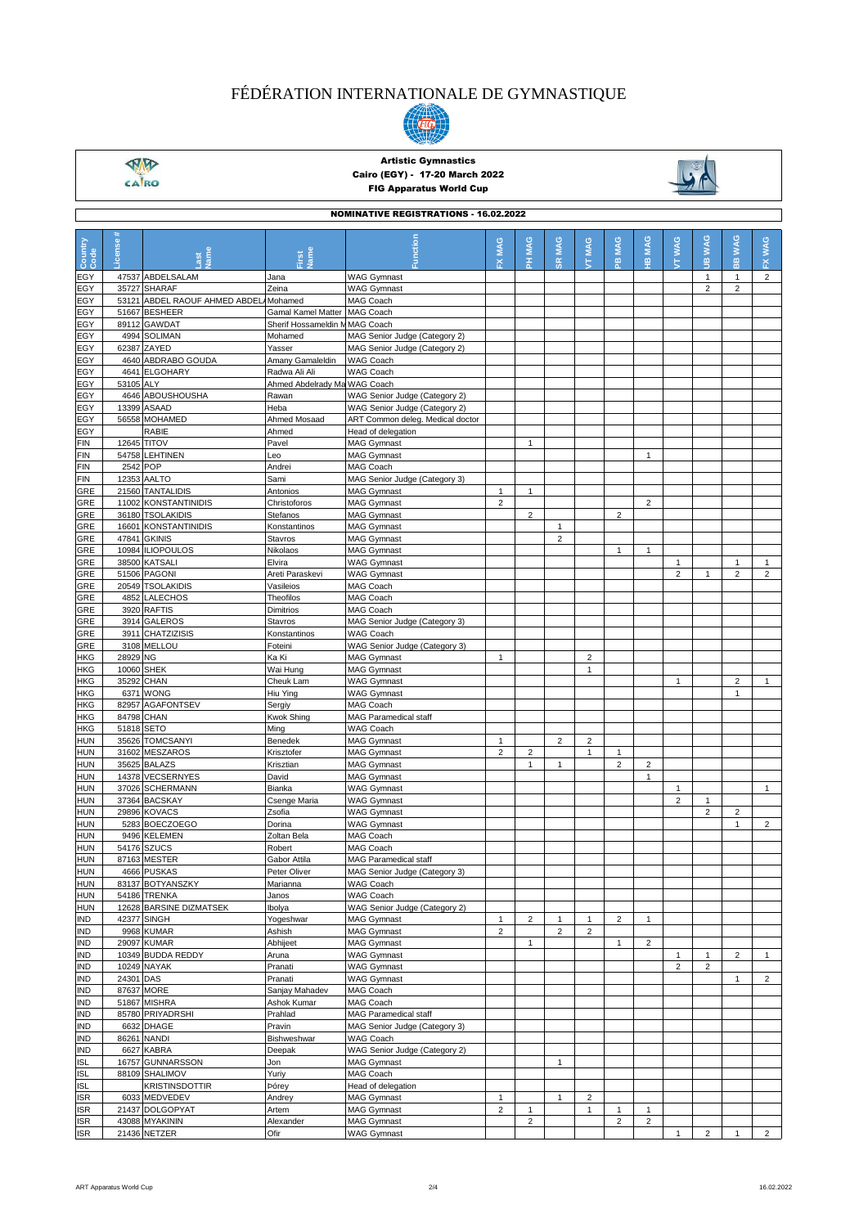

 $\frac{\sqrt{M}}{\sqrt{M}}$ 

### Artistic Gymnastics Cairo (EGY) - 17-20 March 2022 FIG Apparatus World Cup



| <b>NOMINATIVE REGISTRATIONS - 16.02.2022</b> |            |                                          |                              |                                                                |                |                |                |                |                         |                         |                                |                                |                             |                |
|----------------------------------------------|------------|------------------------------------------|------------------------------|----------------------------------------------------------------|----------------|----------------|----------------|----------------|-------------------------|-------------------------|--------------------------------|--------------------------------|-----------------------------|----------------|
| Country<br>Code                              | License    | lame                                     | lame                         | <b>Tunction</b>                                                | MAG<br>준       | PH MAG         | <b>SR MAG</b>  | MAG<br>ţ       | <b>MAG</b><br>黑         | <b>MAG</b><br>옾         | <b>TT WAG</b>                  | <b>JIB WAG</b>                 | <b>WAG</b><br>$\frac{m}{m}$ | FX WAG         |
| EGY                                          |            | 47537 ABDELSALAM                         | Jana                         | <b>WAG Gymnast</b>                                             |                |                |                |                |                         |                         |                                | $\mathbf{1}$                   | $\mathbf{1}$                | $\overline{c}$ |
| EGY                                          |            | 35727 SHARAF                             | Zeina                        | <b>WAG Gymnast</b>                                             |                |                |                |                |                         |                         |                                | $\overline{2}$                 | $\overline{2}$              |                |
| EGY                                          |            | 53121 ABDEL RAOUF AHMED ABDEL Mohamed    |                              | <b>MAG Coach</b>                                               |                |                |                |                |                         |                         |                                |                                |                             |                |
| EGY                                          |            | 51667 BESHEER                            | <b>Gamal Kamel Matter</b>    | MAG Coach                                                      |                |                |                |                |                         |                         |                                |                                |                             |                |
| EGY                                          |            | 89112 GAWDAT                             | Sherif Hossameldin N         | <b>MAG Coach</b>                                               |                |                |                |                |                         |                         |                                |                                |                             |                |
| EGY<br>EGY                                   |            | 4994 SOLIMAN<br>62387 ZAYED              | Mohamed<br>Yasser            | MAG Senior Judge (Category 2)<br>MAG Senior Judge (Category 2) |                |                |                |                |                         |                         |                                |                                |                             |                |
| EGY                                          |            | 4640 ABDRABO GOUDA                       | Amany Gamaleldin             | WAG Coach                                                      |                |                |                |                |                         |                         |                                |                                |                             |                |
| EGY                                          |            | 4641 ELGOHARY                            | Radwa Ali Ali                | WAG Coach                                                      |                |                |                |                |                         |                         |                                |                                |                             |                |
| EGY                                          | 53105 ALY  |                                          | Ahmed Abdelrady Ma WAG Coach |                                                                |                |                |                |                |                         |                         |                                |                                |                             |                |
| EGY                                          |            | 4646 ABOUSHOUSHA                         | Rawan                        | WAG Senior Judge (Category 2)                                  |                |                |                |                |                         |                         |                                |                                |                             |                |
| EGY                                          |            | 13399 ASAAD                              | Heba                         | WAG Senior Judge (Category 2)                                  |                |                |                |                |                         |                         |                                |                                |                             |                |
| EGY<br>EGY                                   |            | 56558 MOHAMED<br>RABIE                   | Ahmed Mosaad<br>Ahmed        | ART Common deleg. Medical doctor<br>Head of delegation         |                |                |                |                |                         |                         |                                |                                |                             |                |
| <b>FIN</b>                                   |            | 12645 TITOV                              | Pavel                        | <b>MAG Gymnast</b>                                             |                | $\mathbf{1}$   |                |                |                         |                         |                                |                                |                             |                |
| FIN                                          |            | 54758 LEHTINEN                           | Leo                          | <b>MAG Gymnast</b>                                             |                |                |                |                |                         | 1                       |                                |                                |                             |                |
| <b>FIN</b>                                   | 2542 POP   |                                          | Andrei                       | MAG Coach                                                      |                |                |                |                |                         |                         |                                |                                |                             |                |
| <b>FIN</b>                                   |            | 12353 AALTO                              | Sami                         | MAG Senior Judge (Category 3)                                  |                |                |                |                |                         |                         |                                |                                |                             |                |
| GRE                                          |            | 21560 TANTALIDIS                         | Antonios                     | <b>MAG Gymnast</b>                                             | $\mathbf{1}$   | $\mathbf{1}$   |                |                |                         |                         |                                |                                |                             |                |
| GRE                                          |            | 11002 KONSTANTINIDIS                     | Christoforos                 | <b>MAG Gymnast</b>                                             | $\overline{2}$ |                |                |                |                         | $\overline{2}$          |                                |                                |                             |                |
| GRE<br>GRE                                   |            | 36180 TSOLAKIDIS<br>16601 KONSTANTINIDIS | Stefanos<br>Konstantinos     | <b>MAG Gymnast</b><br><b>MAG Gymnast</b>                       |                | $\overline{2}$ | $\mathbf{1}$   |                | $\overline{2}$          |                         |                                |                                |                             |                |
| GRE                                          | 47841      | <b>GKINIS</b>                            | Stavros                      | <b>MAG Gymnast</b>                                             |                |                | $\overline{2}$ |                |                         |                         |                                |                                |                             |                |
| GRE                                          |            | 10984 ILIOPOULOS                         | Nikolaos                     | <b>MAG Gymnast</b>                                             |                |                |                |                | $\mathbf{1}$            | $\mathbf{1}$            |                                |                                |                             |                |
| GRE                                          |            | 38500 KATSALI                            | Elvira                       | <b>WAG Gymnast</b>                                             |                |                |                |                |                         |                         | $\mathbf{1}$                   |                                | 1                           | $\mathbf{1}$   |
| GRE                                          |            | 51506 PAGONI                             | Areti Paraskevi              | <b>WAG Gymnast</b>                                             |                |                |                |                |                         |                         | $\overline{2}$                 | $\mathbf{1}$                   | $\overline{2}$              | $\overline{c}$ |
| GRE                                          |            | 20549 TSOLAKIDIS                         | Vasileios                    | <b>MAG Coach</b>                                               |                |                |                |                |                         |                         |                                |                                |                             |                |
| GRE                                          |            | 4852 LALECHOS                            | Theofilos                    | MAG Coach                                                      |                |                |                |                |                         |                         |                                |                                |                             |                |
| GRE<br>GRE                                   |            | 3920 RAFTIS<br>3914 GALEROS              | Dimitrios<br>Stavros         | MAG Coach<br>MAG Senior Judge (Category 3)                     |                |                |                |                |                         |                         |                                |                                |                             |                |
| GRE                                          |            | 3911 CHATZIZISIS                         | Konstantinos                 | WAG Coach                                                      |                |                |                |                |                         |                         |                                |                                |                             |                |
| GRE                                          |            | 3108 MELLOU                              | Foteini                      | WAG Senior Judge (Category 3)                                  |                |                |                |                |                         |                         |                                |                                |                             |                |
| <b>HKG</b>                                   | 28929 NG   |                                          | Ka Ki                        | <b>MAG Gymnast</b>                                             | $\mathbf{1}$   |                |                | $\overline{2}$ |                         |                         |                                |                                |                             |                |
| <b>HKG</b>                                   | 10060      | <b>SHEK</b>                              | Wai Hung                     | <b>MAG Gymnast</b>                                             |                |                |                | $\mathbf{1}$   |                         |                         |                                |                                |                             |                |
| HKG                                          |            | 35292 CHAN                               | Cheuk Lam                    | <b>WAG Gymnast</b>                                             |                |                |                |                |                         |                         | 1                              |                                | $\overline{2}$              | $\mathbf{1}$   |
| <b>HKG</b><br>HKG                            |            | 6371 WONG<br>82957 AGAFONTSEV            | Hiu Ying<br>Sergiy           | <b>WAG Gymnast</b><br>MAG Coach                                |                |                |                |                |                         |                         |                                |                                | $\mathbf{1}$                |                |
| HKG                                          | 84798 CHAN |                                          | <b>Kwok Shing</b>            | MAG Paramedical staff                                          |                |                |                |                |                         |                         |                                |                                |                             |                |
| HKG                                          | 51818 SETO |                                          | Ming                         | WAG Coach                                                      |                |                |                |                |                         |                         |                                |                                |                             |                |
| HUN                                          |            | 35626 TOMCSANYI                          | Benedek                      | <b>MAG Gymnast</b>                                             | $\mathbf{1}$   |                | $\sqrt{2}$     | $\overline{c}$ |                         |                         |                                |                                |                             |                |
| <b>HUN</b>                                   |            | 31602 MESZAROS                           | Krisztofer                   | <b>MAG Gymnast</b>                                             | $\overline{2}$ | $\overline{2}$ |                | $\mathbf{1}$   | $\mathbf{1}$            |                         |                                |                                |                             |                |
| <b>HUN</b>                                   |            | 35625 BALAZS                             | Krisztian                    | <b>MAG Gymnast</b>                                             |                | $\mathbf{1}$   | $\mathbf{1}$   |                | $\overline{2}$          | $\overline{2}$          |                                |                                |                             |                |
| <b>HUN</b><br>HUN                            |            | 14378 VECSERNYES<br>37026 SCHERMANN      | David<br>Bianka              | <b>MAG Gymnast</b><br><b>WAG Gymnast</b>                       |                |                |                |                |                         | 1                       | $\mathbf{1}$                   |                                |                             | $\mathbf{1}$   |
| <b>HUN</b>                                   |            | 37364 BACSKAY                            | Csenge Maria                 | <b>WAG Gymnast</b>                                             |                |                |                |                |                         |                         | $\overline{2}$                 | 1                              |                             |                |
| HUN                                          |            | 29896 KOVACS                             | Zsofia                       | <b>WAG Gymnast</b>                                             |                |                |                |                |                         |                         |                                | $\overline{2}$                 | $\overline{2}$              |                |
| HUN                                          |            | 5283 BOECZOEGO                           | Dorina                       | <b>WAG Gymnast</b>                                             |                |                |                |                |                         |                         |                                |                                | $\mathbf{1}$                | $\overline{c}$ |
| <b>HUN</b>                                   | 9496       | <b>KELEMEN</b>                           | Zoltan Bela                  | MAG Coach                                                      |                |                |                |                |                         |                         |                                |                                |                             |                |
| <b>HUN</b>                                   |            | 54176 SZUCS                              | Robert                       | MAG Coach                                                      |                |                |                |                |                         |                         |                                |                                |                             |                |
| <b>HUN</b>                                   |            | 87163 MESTER<br>4666 PUSKAS              | Gabor Attila                 | <b>MAG Paramedical staff</b>                                   |                |                |                |                |                         |                         |                                |                                |                             |                |
| <b>HUN</b><br><b>HUN</b>                     |            | 83137 BOTYANSZKY                         | Peter Oliver<br>Marianna     | MAG Senior Judge (Category 3)<br>WAG Coach                     |                |                |                |                |                         |                         |                                |                                |                             |                |
| <b>HUN</b>                                   |            | 54186 TRENKA                             | Janos                        | WAG Coach                                                      |                |                |                |                |                         |                         |                                |                                |                             |                |
| <b>HUN</b>                                   |            | 12628 BARSINE DIZMATSEK                  | Ibolya                       | WAG Senior Judge (Category 2)                                  |                |                |                |                |                         |                         |                                |                                |                             |                |
| <b>IND</b>                                   |            | 42377 SINGH                              | Yogeshwar                    | MAG Gymnast                                                    | $\mathbf{1}$   | $\overline{c}$ | $\mathbf{1}$   | $\mathbf{1}$   | $\overline{2}$          | $\mathbf{1}$            |                                |                                |                             |                |
| IND                                          |            | 9968 KUMAR                               | Ashish                       | <b>MAG Gymnast</b>                                             | $\overline{2}$ |                | $\overline{2}$ | $\overline{2}$ |                         |                         |                                |                                |                             |                |
| IND                                          |            | 29097 KUMAR                              | Abhijeet                     | <b>MAG Gymnast</b>                                             |                | $\mathbf{1}$   |                |                | $\mathbf{1}$            | $\overline{2}$          |                                |                                |                             |                |
| IND<br><b>IND</b>                            |            | 10349 BUDDA REDDY<br>10249 NAYAK         | Aruna<br>Pranati             | <b>WAG Gymnast</b><br><b>WAG Gymnast</b>                       |                |                |                |                |                         |                         | $\mathbf{1}$<br>$\overline{2}$ | $\mathbf{1}$<br>$\overline{2}$ | $\overline{2}$              | 1              |
| <b>IND</b>                                   | 24301 DAS  |                                          | Pranati                      | <b>WAG Gymnast</b>                                             |                |                |                |                |                         |                         |                                |                                | $\mathbf{1}$                | $\overline{2}$ |
| IND                                          |            | 87637 MORE                               | Sanjay Mahadev               | MAG Coach                                                      |                |                |                |                |                         |                         |                                |                                |                             |                |
| <b>IND</b>                                   |            | 51867 MISHRA                             | Ashok Kumar                  | MAG Coach                                                      |                |                |                |                |                         |                         |                                |                                |                             |                |
| <b>IND</b>                                   |            | 85780 PRIYADRSHI                         | Prahlad                      | <b>MAG Paramedical staff</b>                                   |                |                |                |                |                         |                         |                                |                                |                             |                |
| IND                                          |            | 6632 DHAGE                               | Pravin                       | MAG Senior Judge (Category 3)                                  |                |                |                |                |                         |                         |                                |                                |                             |                |
| <b>IND</b>                                   |            | 86261 NANDI                              | Bishweshwar                  | WAG Coach                                                      |                |                |                |                |                         |                         |                                |                                |                             |                |
| <b>IND</b><br><b>ISL</b>                     |            | 6627 KABRA<br>16757 GUNNARSSON           | Deepak<br>Jon                | WAG Senior Judge (Category 2)<br><b>MAG Gymnast</b>            |                |                | $\mathbf{1}$   |                |                         |                         |                                |                                |                             |                |
| <b>ISL</b>                                   |            | 88109 SHALIMOV                           | Yuriy                        | MAG Coach                                                      |                |                |                |                |                         |                         |                                |                                |                             |                |
| ISL                                          |            | <b>KRISTINSDOTTIR</b>                    | Þórey                        | Head of delegation                                             |                |                |                |                |                         |                         |                                |                                |                             |                |
| <b>ISR</b>                                   |            | 6033 MEDVEDEV                            | Andrey                       | <b>MAG Gymnast</b>                                             | $\mathbf{1}$   |                | $\mathbf{1}$   | $\overline{2}$ |                         |                         |                                |                                |                             |                |
| <b>ISR</b>                                   |            | 21437 DOLGOPYAT                          | Artem                        | <b>MAG Gymnast</b>                                             | $\overline{2}$ | $\mathbf{1}$   |                | $\mathbf{1}$   | $\mathbf{1}$            | 1                       |                                |                                |                             |                |
| <b>ISR</b>                                   |            | 43088 MYAKININ                           | Alexander                    | <b>MAG Gymnast</b>                                             |                | $\overline{a}$ |                |                | $\overline{\mathbf{c}}$ | $\overline{\mathbf{c}}$ |                                |                                |                             |                |
| <b>ISR</b>                                   |            | 21436 NETZER                             | Ofir                         | <b>WAG Gymnast</b>                                             |                |                |                |                |                         |                         | $\mathbf{1}$                   | $\mathbf 2$                    | $\mathbf{1}$                | $\overline{a}$ |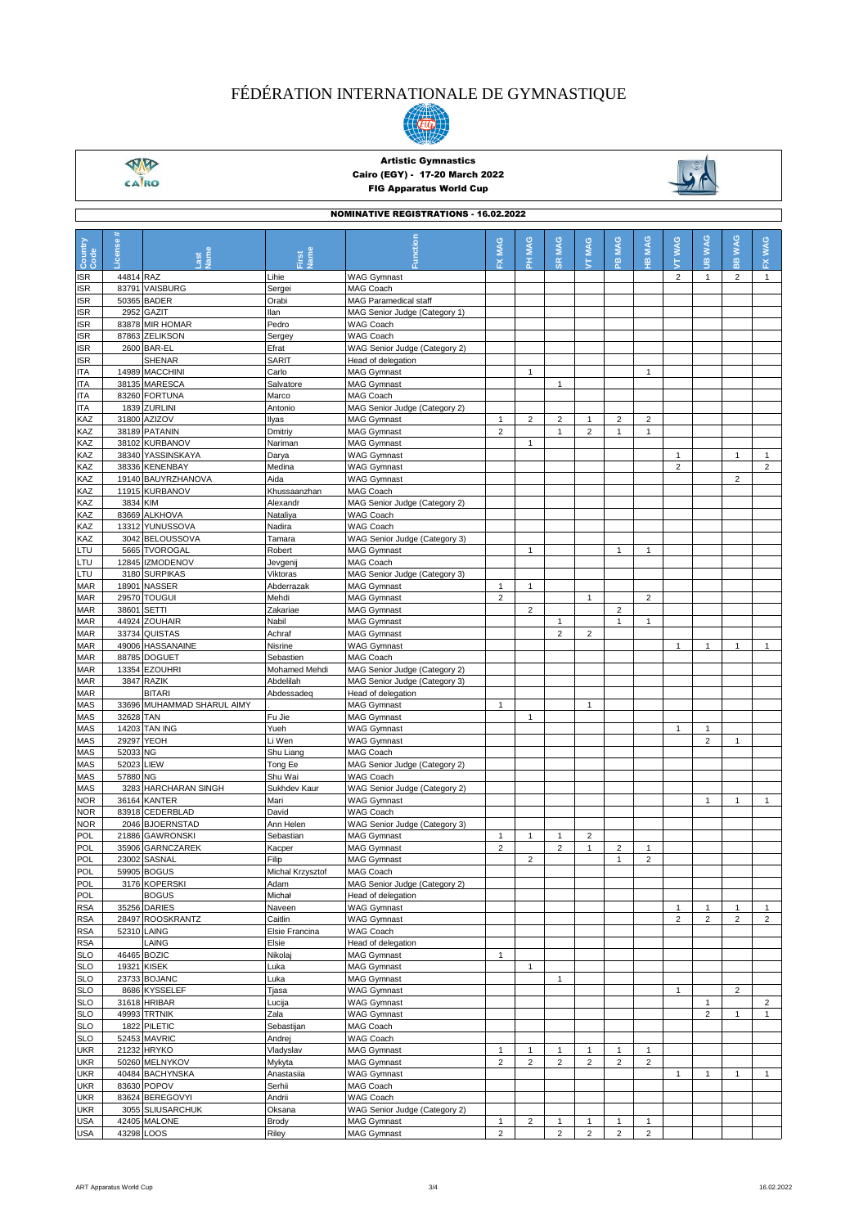

 $\frac{\sqrt{M}}{\sqrt{M}}$ 

### Artistic Gymnastics Cairo (EGY) - 17-20 March 2022 FIG Apparatus World Cup



| <b>NOMINATIVE REGISTRATIONS - 16.02.2022</b> |            |                                  |                          |                                                     |                |                         |                  |                         |                |                         |                 |                                |                  |                                |
|----------------------------------------------|------------|----------------------------------|--------------------------|-----------------------------------------------------|----------------|-------------------------|------------------|-------------------------|----------------|-------------------------|-----------------|--------------------------------|------------------|--------------------------------|
| Country<br>Code                              | -icense    | lame<br>ast                      | <b>Jame</b><br>irst      |                                                     | FX MAG         | PH MAG                  | MAG<br><b>SR</b> | MAG<br>É                | MAG<br>윤       | <b>MAG</b><br>Ψ         | <b>WAG</b><br>Е | <b>WAG</b><br>ġ                | <b>WAG</b><br>es | <b>WAG</b><br>쮼                |
| <b>ISR</b>                                   | 44814 RAZ  |                                  | Lihie                    | <b>WAG Gymnast</b>                                  |                |                         |                  |                         |                |                         | $\overline{2}$  | $\mathbf{1}$                   | $\overline{2}$   | $\mathbf{1}$                   |
| ISR                                          |            | 83791 VAISBURG                   | Sergei                   | MAG Coach                                           |                |                         |                  |                         |                |                         |                 |                                |                  |                                |
| <b>ISR</b>                                   |            | 50365 BADER                      | Orabi<br>llan            | <b>MAG Paramedical staff</b>                        |                |                         |                  |                         |                |                         |                 |                                |                  |                                |
| <b>ISR</b><br><b>ISR</b>                     |            | 2952 GAZIT<br>83878 MIR HOMAR    | Pedro                    | MAG Senior Judge (Category 1)<br><b>WAG Coach</b>   |                |                         |                  |                         |                |                         |                 |                                |                  |                                |
| ISR                                          |            | 87863 ZELIKSON                   | Sergey                   | <b>WAG Coach</b>                                    |                |                         |                  |                         |                |                         |                 |                                |                  |                                |
| <b>ISR</b>                                   |            | 2600 BAR-EL                      | Efrat                    | WAG Senior Judge (Category 2)                       |                |                         |                  |                         |                |                         |                 |                                |                  |                                |
| ISR                                          |            | <b>SHENAR</b>                    | SARIT                    | Head of delegation                                  |                |                         |                  |                         |                |                         |                 |                                |                  |                                |
| <b>ITA</b>                                   |            | 14989 MACCHINI                   | Carlo                    | <b>MAG Gymnast</b>                                  |                | $\mathbf{1}$            |                  |                         |                | $\mathbf{1}$            |                 |                                |                  |                                |
| <b>ITA</b>                                   |            | 38135 MARESCA                    | Salvatore                | <b>MAG Gymnast</b>                                  |                |                         | $\mathbf{1}$     |                         |                |                         |                 |                                |                  |                                |
| <b>ITA</b>                                   |            | 83260 FORTUNA<br>1839 ZURLINI    | Marco<br>Antonio         | MAG Coach                                           |                |                         |                  |                         |                |                         |                 |                                |                  |                                |
| <b>ITA</b><br>KAZ                            |            | 31800 AZIZOV                     | Ilyas                    | MAG Senior Judge (Category 2)<br><b>MAG Gymnast</b> | $\mathbf{1}$   | $\overline{\mathbf{c}}$ | $\overline{c}$   | 1                       | $\overline{c}$ | $\overline{\mathbf{c}}$ |                 |                                |                  |                                |
| KAZ                                          |            | 38189 PATANIN                    | Dmitriy                  | <b>MAG Gymnast</b>                                  | $\overline{2}$ |                         | $\mathbf{1}$     | $\overline{2}$          | $\mathbf{1}$   | $\mathbf{1}$            |                 |                                |                  |                                |
| KAZ                                          |            | 38102 KURBANOV                   | Nariman                  | <b>MAG Gymnast</b>                                  |                | $\mathbf{1}$            |                  |                         |                |                         |                 |                                |                  |                                |
| KAZ                                          |            | 38340 YASSINSKAYA                | Darya                    | <b>WAG Gymnast</b>                                  |                |                         |                  |                         |                |                         | $\mathbf{1}$    |                                | $\mathbf{1}$     | $\mathbf{1}$                   |
| KAZ                                          |            | 38336 KENENBAY                   | Medina                   | <b>WAG Gymnast</b>                                  |                |                         |                  |                         |                |                         | $\overline{2}$  |                                |                  | $\overline{2}$                 |
| KAZ                                          |            | 19140 BAUYRZHANOVA               | Aida                     | <b>WAG Gymnast</b>                                  |                |                         |                  |                         |                |                         |                 |                                | $\overline{2}$   |                                |
| KAZ<br>KAZ                                   | 3834 KIM   | 11915 KURBANOV                   | Khussaanzhan<br>Alexandr | MAG Coach<br>MAG Senior Judge (Category 2)          |                |                         |                  |                         |                |                         |                 |                                |                  |                                |
| KAZ                                          |            | 83669 ALKHOVA                    | Nataliya                 | <b>WAG Coach</b>                                    |                |                         |                  |                         |                |                         |                 |                                |                  |                                |
| KAZ                                          |            | 13312 YUNUSSOVA                  | Nadira                   | <b>WAG Coach</b>                                    |                |                         |                  |                         |                |                         |                 |                                |                  |                                |
| KAZ                                          |            | 3042 BELOUSSOVA                  | Tamara                   | WAG Senior Judge (Category 3)                       |                |                         |                  |                         |                |                         |                 |                                |                  |                                |
| LTU                                          |            | 5665 TVOROGAL                    | Robert                   | <b>MAG Gymnast</b>                                  |                | $\mathbf{1}$            |                  |                         | $\mathbf{1}$   | $\mathbf{1}$            |                 |                                |                  |                                |
| LTU                                          |            | 12845 IZMODENOV                  | Jevgenij                 | MAG Coach                                           |                |                         |                  |                         |                |                         |                 |                                |                  |                                |
| LTU                                          |            | 3180 SURPIKAS                    | Viktoras                 | MAG Senior Judge (Category 3)                       |                |                         |                  |                         |                |                         |                 |                                |                  |                                |
| <b>MAR</b>                                   |            | 18901 NASSER                     | Abderrazak               | <b>MAG Gymnast</b>                                  | $\mathbf{1}$   | $\mathbf{1}$            |                  |                         |                |                         |                 |                                |                  |                                |
| <b>MAR</b>                                   |            | 29570 TOUGUI<br>38601 SETTI      | Mehdi                    | MAG Gymnast                                         | $\overline{2}$ | $\overline{2}$          |                  | $\mathbf{1}$            | $\overline{2}$ | $\overline{2}$          |                 |                                |                  |                                |
| <b>MAR</b><br><b>MAR</b>                     |            | 44924 ZOUHAIR                    | Zakariae<br>Nabil        | <b>MAG Gymnast</b><br><b>MAG Gymnast</b>            |                |                         | $\mathbf{1}$     |                         | $\mathbf{1}$   | $\mathbf{1}$            |                 |                                |                  |                                |
| <b>MAR</b>                                   |            | 33734 QUISTAS                    | Achraf                   | <b>MAG Gymnast</b>                                  |                |                         | $\overline{2}$   | $\overline{2}$          |                |                         |                 |                                |                  |                                |
| <b>MAR</b>                                   |            | 49006 HASSANAINE                 | Nisrine                  | <b>WAG Gymnast</b>                                  |                |                         |                  |                         |                |                         | $\mathbf{1}$    | $\mathbf{1}$                   | $\mathbf{1}$     | $\mathbf{1}$                   |
| <b>MAR</b>                                   |            | 88785 DOGUET                     | Sebastien                | MAG Coach                                           |                |                         |                  |                         |                |                         |                 |                                |                  |                                |
| <b>MAR</b>                                   |            | 13354 EZOUHRI                    | Mohamed Mehdi            | MAG Senior Judge (Category 2)                       |                |                         |                  |                         |                |                         |                 |                                |                  |                                |
| <b>MAR</b>                                   |            | 3847 RAZIK                       | Abdelilah                | MAG Senior Judge (Category 3)                       |                |                         |                  |                         |                |                         |                 |                                |                  |                                |
| <b>MAR</b>                                   |            | <b>BITARI</b>                    | Abdessadeq               | Head of delegation                                  | $\mathbf{1}$   |                         |                  | $\mathbf{1}$            |                |                         |                 |                                |                  |                                |
| MAS<br>MAS                                   | 32628 TAN  | 33696 MUHAMMAD SHARUL AIMY       | Fu Jie                   | <b>MAG Gymnast</b><br><b>MAG Gymnast</b>            |                | $\mathbf{1}$            |                  |                         |                |                         |                 |                                |                  |                                |
| MAS                                          |            | 14203 TAN ING                    | Yueh                     | <b>WAG Gymnast</b>                                  |                |                         |                  |                         |                |                         | $\mathbf{1}$    | $\mathbf{1}$                   |                  |                                |
| MAS                                          |            | 29297 YEOH                       | Li Wen                   | <b>WAG Gymnast</b>                                  |                |                         |                  |                         |                |                         |                 | $\overline{2}$                 | $\mathbf{1}$     |                                |
| <b>MAS</b>                                   | 52033 NG   |                                  | Shu Liang                | <b>MAG Coach</b>                                    |                |                         |                  |                         |                |                         |                 |                                |                  |                                |
| MAS                                          | 52023 LIEW |                                  | Tong Ee                  | MAG Senior Judge (Category 2)                       |                |                         |                  |                         |                |                         |                 |                                |                  |                                |
| MAS                                          | 57880 NG   |                                  | Shu Wai                  | <b>WAG Coach</b>                                    |                |                         |                  |                         |                |                         |                 |                                |                  |                                |
| MAS                                          |            | 3283 HARCHARAN SINGH             | Sukhdev Kaur             | WAG Senior Judge (Category 2)                       |                |                         |                  |                         |                |                         |                 |                                |                  |                                |
| <b>NOR</b><br><b>NOR</b>                     |            | 36164 KANTER<br>83918 CEDERBLAD  | Mari<br>David            | <b>WAG Gymnast</b><br><b>WAG Coach</b>              |                |                         |                  |                         |                |                         |                 | $\mathbf{1}$                   | $\mathbf{1}$     | $\mathbf{1}$                   |
| <b>NOR</b>                                   |            | 2046 BJOERNSTAD                  | Ann Helen                | WAG Senior Judge (Category 3)                       |                |                         |                  |                         |                |                         |                 |                                |                  |                                |
| <b>POL</b>                                   |            | 21886 GAWRONSKI                  | Sebastian                | <b>MAG Gymnast</b>                                  | $\mathbf{1}$   | $\mathbf{1}$            | $\mathbf{1}$     | $\overline{2}$          |                |                         |                 |                                |                  |                                |
| POL                                          |            | 35906 GARNCZAREK                 | Kacper                   | <b>MAG Gymnast</b>                                  | $\overline{2}$ |                         | $\overline{c}$   | $\mathbf{1}$            | $\overline{2}$ | $\mathbf{1}$            |                 |                                |                  |                                |
| POL                                          |            | 23002 SASNAL                     | Filip                    | MAG Gymnast                                         |                | $\overline{\mathbf{c}}$ |                  |                         | $\overline{1}$ | $\overline{c}$          |                 |                                |                  |                                |
| POL                                          |            | 59905 BOGUS                      | Michal Krzysztof         | MAG Coach                                           |                |                         |                  |                         |                |                         |                 |                                |                  |                                |
| POL                                          |            | 3176 KOPERSKI                    | Adam                     | MAG Senior Judge (Category 2)                       |                |                         |                  |                         |                |                         |                 |                                |                  |                                |
| POL<br><b>RSA</b>                            |            | <b>BOGUS</b><br>35256 DARIES     | Michał<br>Naveen         | Head of delegation<br><b>WAG Gymnast</b>            |                |                         |                  |                         |                |                         | $\mathbf{1}$    | $\mathbf{1}$                   | $\mathbf{1}$     | $\mathbf{1}$                   |
| <b>RSA</b>                                   |            | 28497 ROOSKRANTZ                 | Caitlin                  | <b>WAG Gymnast</b>                                  |                |                         |                  |                         |                |                         | $\overline{c}$  | $\overline{2}$                 | $\overline{2}$   | 2                              |
| <b>RSA</b>                                   |            | 52310 LAING                      | Elsie Francina           | WAG Coach                                           |                |                         |                  |                         |                |                         |                 |                                |                  |                                |
| <b>RSA</b>                                   |            | LAING                            | Elsie                    | Head of delegation                                  |                |                         |                  |                         |                |                         |                 |                                |                  |                                |
| <b>SLO</b>                                   |            | 46465 BOZIC                      | Nikolaj                  | <b>MAG Gymnast</b>                                  | $\mathbf{1}$   |                         |                  |                         |                |                         |                 |                                |                  |                                |
| <b>SLO</b>                                   |            | 19321 KISEK                      | Luka                     | <b>MAG Gymnast</b>                                  |                | $\mathbf{1}$            |                  |                         |                |                         |                 |                                |                  |                                |
| <b>SLO</b>                                   |            | 23733 BOJANC                     | Luka                     | <b>MAG Gymnast</b>                                  |                |                         | $\mathbf{1}$     |                         |                |                         |                 |                                |                  |                                |
| <b>SLO</b>                                   |            | 8686 KYSSELEF                    | Tjasa                    | <b>WAG Gymnast</b>                                  |                |                         |                  |                         |                |                         | $\mathbf{1}$    |                                | $\overline{2}$   |                                |
| <b>SLO</b><br><b>SLO</b>                     |            | 31618 HRIBAR<br>49993 TRTNIK     | Lucija<br>Zala           | <b>WAG Gymnast</b><br><b>WAG Gymnast</b>            |                |                         |                  |                         |                |                         |                 | $\mathbf{1}$<br>$\overline{2}$ | $\mathbf{1}$     | $\overline{2}$<br>$\mathbf{1}$ |
| <b>SLO</b>                                   |            | 1822 PILETIC                     | Sebastijan               | MAG Coach                                           |                |                         |                  |                         |                |                         |                 |                                |                  |                                |
| <b>SLO</b>                                   |            | 52453 MAVRIC                     | Andrej                   | WAG Coach                                           |                |                         |                  |                         |                |                         |                 |                                |                  |                                |
| <b>UKR</b>                                   |            | 21232 HRYKO                      | Vladyslav                | <b>MAG Gymnast</b>                                  | $\mathbf{1}$   | $\mathbf{1}$            | $\mathbf{1}$     | 1                       | $\mathbf{1}$   | $\mathbf{1}$            |                 |                                |                  |                                |
| <b>UKR</b>                                   |            | 50260 MELNYKOV                   | Mykyta                   | <b>MAG Gymnast</b>                                  | $\overline{2}$ | $\overline{c}$          | $\overline{2}$   | $\overline{2}$          | $\overline{2}$ | $\overline{c}$          |                 |                                |                  |                                |
| <b>UKR</b>                                   |            | 40484 BACHYNSKA                  | Anastasiia               | <b>WAG Gymnast</b>                                  |                |                         |                  |                         |                |                         | $\mathbf{1}$    | $\mathbf{1}$                   | $\mathbf{1}$     | $\mathbf{1}$                   |
| <b>UKR</b>                                   |            | 83630 POPOV                      | Serhii                   | MAG Coach                                           |                |                         |                  |                         |                |                         |                 |                                |                  |                                |
| <b>UKR</b>                                   |            | 83624 BEREGOVYI                  | Andrii                   | WAG Coach                                           |                |                         |                  |                         |                |                         |                 |                                |                  |                                |
| <b>UKR</b><br><b>USA</b>                     |            | 3055 SLIUSARCHUK<br>42405 MALONE | Oksana<br>Brody          | WAG Senior Judge (Category 2)<br><b>MAG Gymnast</b> | $\mathbf{1}$   | $\overline{\mathbf{c}}$ | $\mathbf{1}$     | $\mathbf{1}$            | $\mathbf{1}$   | $\mathbf{1}$            |                 |                                |                  |                                |
| <b>USA</b>                                   |            | 43298 LOOS                       | Riley                    | MAG Gymnast                                         | $\overline{2}$ |                         | $\overline{c}$   | $\overline{\mathbf{c}}$ | $\overline{c}$ | $\overline{\mathbf{c}}$ |                 |                                |                  |                                |
|                                              |            |                                  |                          |                                                     |                |                         |                  |                         |                |                         |                 |                                |                  |                                |